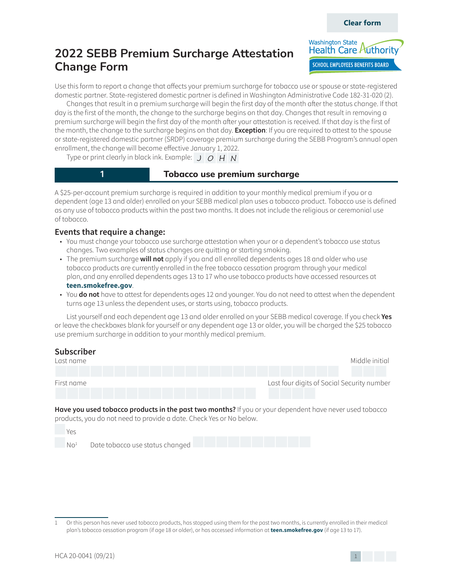

Use this form to report a change that affects your premium surcharge for tobacco use or spouse or state-registered domestic partner. State-registered domestic partner is defined in Washington Administrative Code 182-31-020 (2).

Changes that result in a premium surcharge will begin the first day of the month after the status change. If that day is the first of the month, the change to the surcharge begins on that day. Changes that result in removing a premium surcharge will begin the first day of the month after your attestation is received. If that day is the first of the month, the change to the surcharge begins on that day. **Exception**: If you are required to attest to the spouse or state-registered domestic partner (SRDP) coverage premium surcharge during the SEBB Program's annual open enrollment, the change will become effective January 1, 2022.

Type or print clearly in black ink. Example:  $J|O|H|N$ 

## **1 1 1 Tobacco** use premium surcharge

A \$25-per-account premium surcharge is required in addition to your monthly medical premium if you or a dependent (age 13 and older) enrolled on your SEBB medical plan uses a tobacco product. Tobacco use is defined as any use of tobacco products within the past two months. It does not include the religious or ceremonial use of tobacco.

## **Events that require a change:**

- You must change your tobacco use surcharge attestation when your or a dependent's tobacco use status changes. Two examples of status changes are quitting or starting smoking.
- The premium surcharge **will not** apply if you and all enrolled dependents ages 18 and older who use tobacco products are currently enrolled in the free tobacco cessation program through your medical plan, and any enrolled dependents ages 13 to 17 who use tobacco products have accessed resources at **teen.smokefree.gov**.
- You **do not** have to attest for dependents ages 12 and younger. You do not need to attest when the dependent turns age 13 unless the dependent uses, or starts using, tobacco products.

List yourself and each dependent age 13 and older enrolled on your SEBB medical coverage. If you check **Yes** or leave the checkboxes blank for yourself or any dependent age 13 or older, you will be charged the \$25 tobacco use premium surcharge in addition to your monthly medical premium.

## **Subscriber**



**Have you used tobacco products in the past two months?** If you or your dependent have never used tobacco products, you do not need to provide a date. Check Yes or No below.

 Yes  $N\Omega^1$ Date tobacco use status changed

<sup>1</sup> Or this person has never used tobacco products, has stopped using them for the past two months, is currently enrolled in their medical plan's tobacco cessation program (if age 18 or older), or has accessed information at **teen.smokefree.gov** (if age 13 to 17).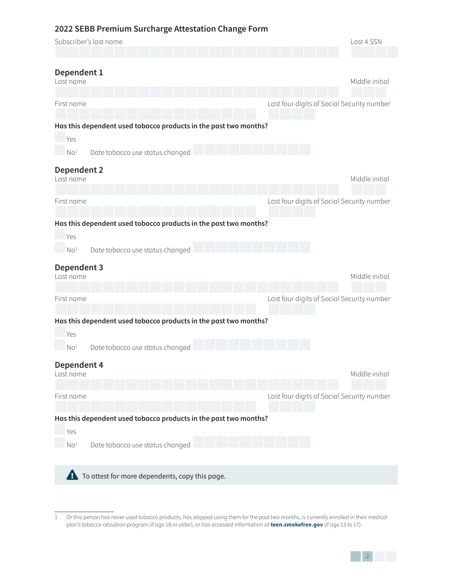| Subscriber's last name                                           | Last 4 SSN                                 |
|------------------------------------------------------------------|--------------------------------------------|
|                                                                  |                                            |
| Dependent 1<br>Last name                                         | Middle initial                             |
| First name                                                       | Last four digits of Social Security number |
| Has this dependent used tobacco products in the past two months? |                                            |
| Yes                                                              |                                            |
| No <sup>1</sup><br>Date tobacco use status changed               |                                            |
| Dependent 2<br>Last name                                         | Middle initial                             |
| First name                                                       | Last four digits of Social Security number |
| Has this dependent used tobacco products in the past two months? |                                            |
| Yes                                                              |                                            |
| Date tobacco use status changed<br>No <sup>1</sup>               |                                            |
| Dependent 3<br>Last name                                         | Middle initial                             |
|                                                                  |                                            |
| First name                                                       | Last four digits of Social Security number |
| Has this dependent used tobacco products in the past two months? |                                            |
| Yes                                                              |                                            |
| Date tobacco use status changed<br>No <sup>1</sup>               |                                            |
| Dependent 4<br>Last name                                         | Middle initial                             |
| First name                                                       | Last four digits of Social Security number |
| Has this dependent used tobacco products in the past two months? |                                            |
| Yes                                                              |                                            |
| Date tobacco use status changed<br>No <sup>1</sup>               |                                            |
| A.<br>To attest for more dependents, copy this page.             |                                            |

<span id="page-1-0"></span><sup>1</sup> Or this person has never used tobacco products, has stopped using them for the past two months, is currently enrolled in their medical plan's tobacco cessation program (if age 18 or older), or has accessed information at **teen.smokefree.gov** (if age 13 to 17).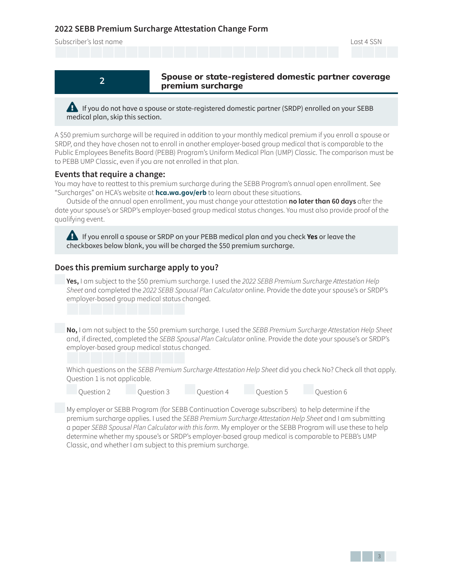Subscriber's last name Last 4 SSN



**2** Spouse or state-registered domestic partner coverage  **premium surcharge**

**Example If you do not have a spouse or state-registered domestic partner (SRDP) enrolled on your SEBB** medical plan, skip this section.

A \$50 premium surcharge will be required in addition to your monthly medical premium if you enroll a spouse or SRDP, and they have chosen not to enroll in another employer-based group medical that is comparable to the Public Employees Benefits Board (PEBB) Program's Uniform Medical Plan (UMP) Classic. The comparison must be to PEBB UMP Classic, even if you are not enrolled in that plan.

### **Events that require a change:**

You may have to reattest to this premium surcharge during the SEBB Program's annual open enrollment. See "Surcharges" on HCA's website at **hca.wa.gov/erb** to learn about these situations.

Outside of the annual open enrollment, you must change your attestation **no later than 60 days** after the date your spouse's or SRDP's employer-based group medical status changes. You must also provide proof of the qualifying event.

**Example If you enroll a spouse or SRDP on your PEBB medical plan and you check <b>Yes** or leave the checkboxes below blank, you will be charged the \$50 premium surcharge.

## **Does this premium surcharge apply to you?**

**Yes,** I am subject to the \$50 premium surcharge. I used the 2022 SEBB Premium Surcharge Attestation Help Sheet and completed the 2022 SEBB Spousal Plan Calculator online. Provide the date your spouse's or SRDP's employer-based group medical status changed.

No, I am not subject to the \$50 premium surcharge. I used the SEBB Premium Surcharge Attestation Help Sheet and, if directed, completed the SEBB Spousal Plan Calculator online. Provide the date your spouse's or SRDP's employer-based group medical status changed.

Which questions on the SEBB Premium Surcharge Attestation Help Sheet did you check No? Check all that apply. Question 1 is not applicable.

Question 2 Question 3 Question 4 Question 5 Question 6

 My employer or SEBB Program (for SEBB Continuation Coverage subscribers) to help determine if the premium surcharge applies. I used the SEBB Premium Surcharge Attestation Help Sheet and I am submitting a paper SEBB Spousal Plan Calculator with this form. My employer or the SEBB Program will use these to help determine whether my spouse's or SRDP's employer-based group medical is comparable to PEBB's UMP Classic, and whether I am subject to this premium surcharge.